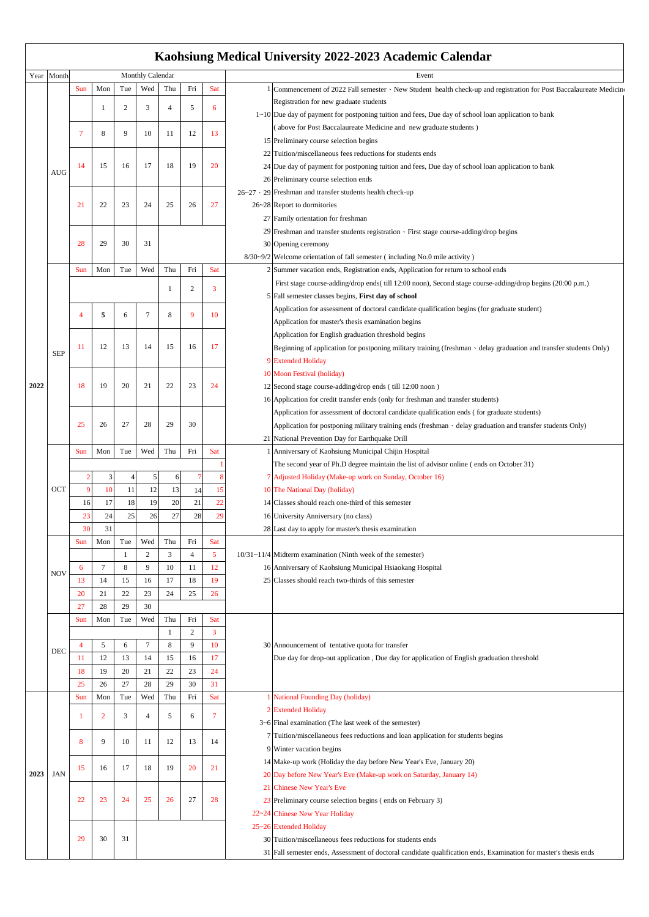## **Kaohsiung Medical University 2022-2023 Academic Calendar**

|      | Year Month |                                                     | Monthly Calendar |     |                |              |                |            | Event                                                                                                                    |
|------|------------|-----------------------------------------------------|------------------|-----|----------------|--------------|----------------|------------|--------------------------------------------------------------------------------------------------------------------------|
|      |            | Sun                                                 | Mon              | Tue | Wed            | Thu          | Fri            | Sat        | 1 Commencement of 2022 Fall semester · New Student health check-up and registration for Post Baccalaureate Medicine      |
|      |            |                                                     |                  |     |                |              |                |            |                                                                                                                          |
|      |            |                                                     | 1                | 2   | 3              | 4            | 5              | 6          | Registration for new graduate students                                                                                   |
|      |            |                                                     |                  |     |                |              |                |            | $1 \sim 10$ Due day of payment for postponing tuition and fees, Due day of school loan application to bank               |
|      |            | 7                                                   | 8                | 9   | 10             | 11           | 12             | 13         | (above for Post Baccalaureate Medicine and new graduate students)                                                        |
|      | AUG        |                                                     |                  |     |                |              |                |            | 15 Preliminary course selection begins                                                                                   |
|      |            |                                                     |                  |     |                |              |                |            | 22 Tuition/miscellaneous fees reductions for students ends                                                               |
|      |            | 14                                                  | 15               | 16  | 17             | 18           | 19             | 20         | 24 Due day of payment for postponing tuition and fees, Due day of school loan application to bank                        |
|      |            |                                                     |                  |     |                |              |                |            | 26 Preliminary course selection ends                                                                                     |
|      |            |                                                     |                  |     |                |              |                |            | $26-27 \cdot 29$ Freshman and transfer students health check-up                                                          |
|      |            | 21                                                  | 22               | 23  | 24             | 25           | 26             | 27         | 26~28 Report to dormitories                                                                                              |
|      |            |                                                     |                  |     |                |              |                |            | 27 Family orientation for freshman                                                                                       |
|      |            |                                                     |                  |     |                |              |                |            | 29 Freshman and transfer students registration · First stage course-adding/drop begins                                   |
|      |            | 28                                                  | 29               | 30  | 31             |              |                |            | 30 Opening ceremony                                                                                                      |
|      |            |                                                     |                  |     |                |              |                |            | 8/30~9/2 Welcome orientation of fall semester (including No.0 mile activity)                                             |
|      |            |                                                     |                  |     |                |              |                |            |                                                                                                                          |
|      |            | Sun                                                 | Mon              | Tue | Wed            | Thu          | Fri            | Sat        | 2 Summer vacation ends, Registration ends, Application for return to school ends                                         |
|      |            |                                                     |                  |     |                | 1            | 2              | 3          | First stage course-adding/drop ends( till 12:00 noon), Second stage course-adding/drop begins (20:00 p.m.)               |
|      |            |                                                     |                  |     |                |              |                |            | 5 Fall semester classes begins, First day of school                                                                      |
|      |            | 4                                                   | 5                | 6   | 7              | 8            | 9              | 10         | Application for assessment of doctoral candidate qualification begins (for graduate student)                             |
|      | <b>SEP</b> |                                                     |                  |     |                |              |                |            | Application for master's thesis examination begins                                                                       |
|      |            |                                                     |                  |     |                | 15           | 16             | 17         | Application for English graduation threshold begins                                                                      |
| 2022 |            | 11                                                  | 12               | 13  | 14             |              |                |            | Beginning of application for postponing military training (freshman $\cdot$ delay graduation and transfer students Only) |
|      |            |                                                     |                  |     |                |              |                |            | 9 Extended Holiday                                                                                                       |
|      |            |                                                     |                  |     |                |              |                |            | 10 Moon Festival (holiday)                                                                                               |
|      |            | 18                                                  | 19               | 20  | 21             | 22           | 23             | 24         | 12 Second stage course-adding/drop ends (till 12:00 noon)                                                                |
|      |            |                                                     |                  |     |                |              |                |            | 16 Application for credit transfer ends (only for freshman and transfer students)                                        |
|      |            |                                                     |                  |     |                |              |                |            |                                                                                                                          |
|      |            |                                                     |                  |     |                |              |                |            | Application for assessment of doctoral candidate qualification ends (for graduate students)                              |
|      |            | 25                                                  | 26               | 27  | 28             | 29           | 30             |            | Application for postponing military training ends (freshman $\cdot$ delay graduation and transfer students Only)         |
|      |            |                                                     |                  |     |                |              |                |            | 21 National Prevention Day for Earthquake Drill                                                                          |
|      | OCT        | Sun                                                 | Mon              | Tue | Wed            | Thu          | Fri            | <b>Sat</b> | Anniversary of Kaohsiung Municipal Chijin Hospital                                                                       |
|      |            |                                                     |                  |     |                |              |                |            | The second year of Ph.D degree maintain the list of advisor online (ends on October 31)                                  |
|      |            | 3<br>$\overline{2}$<br>5<br>6<br>8<br>$\angle$<br>7 |                  |     |                |              |                |            | 7 Adjusted Holiday (Make-up work on Sunday, October 16)                                                                  |
|      |            | $\overline{9}$                                      | 10               | 11  | 12             | 13           | 14             | 15         | 10 The National Day (holiday)                                                                                            |
|      |            | 16                                                  | 17               | 18  | 19             | 20           | 21             | 22         | 14 Classes should reach one-third of this semester                                                                       |
|      |            | 23                                                  | 24               | 25  | 26             | 27           | 28             | 29         | 16 University Anniversary (no class)                                                                                     |
|      |            | 30                                                  | 31               |     |                |              |                |            | 28 Last day to apply for master's thesis examination                                                                     |
|      |            | Sun                                                 | Mon              | Tue | Wed            | Thu          | Fri            | <b>Sat</b> |                                                                                                                          |
|      | <b>NOV</b> |                                                     |                  |     | 2              | 3            | 4              | 5          | 10/31~11/4 Midterm examination (Ninth week of the semester)                                                              |
|      |            | 6                                                   | 7                | 8   | 9              | 10           | 11             | 12         | 16 Anniversary of Kaohsiung Municipal Hsiaokang Hospital                                                                 |
|      |            | 13                                                  | 14               | 15  | 16             | 17           | 18             | 19         | 25 Classes should reach two-thirds of this semester                                                                      |
|      |            | 20                                                  | 21               | 22  | 23             | 24           | 25             | 26         |                                                                                                                          |
|      |            |                                                     |                  |     |                |              |                |            |                                                                                                                          |
|      |            | 27                                                  | 28               | 29  | 30             |              |                |            |                                                                                                                          |
|      | DEC        | Sun                                                 | Mon              | Tue | Wed            | Thu          | Fri            | Sat        |                                                                                                                          |
|      |            |                                                     |                  |     |                | $\mathbf{1}$ | $\overline{c}$ | 3          |                                                                                                                          |
|      |            | $\overline{4}$                                      | 5                | 6   | $\tau$         | 8            | 9              | 10         | 30 Announcement of tentative quota for transfer                                                                          |
|      |            | 11                                                  | 12               | 13  | 14             | 15           | 16             | 17         | Due day for drop-out application, Due day for application of English graduation threshold                                |
|      |            | 18                                                  | 19               | 20  | 21             | 22           | 23             | 24         |                                                                                                                          |
|      |            | 25                                                  | 26               | 27  | 28             | 29           | 30             | 31         |                                                                                                                          |
| 2023 | JAN        | Sun                                                 | Mon              | Tue | Wed            | Thu          | Fri            | Sat        | 1 National Founding Day (holiday)                                                                                        |
|      |            |                                                     |                  |     |                |              |                |            | 2 Extended Holiday                                                                                                       |
|      |            | $\mathbf{1}$                                        | $\overline{2}$   | 3   | $\overline{4}$ | 5            | 6              | 7          | $3-6$ Final examination (The last week of the semester)                                                                  |
|      |            |                                                     |                  |     |                |              |                |            | 7 Tuition/miscellaneous fees reductions and loan application for students begins                                         |
|      |            | 8                                                   | 9                | 10  | 11             | 12           | 13             | 14         | 9 Winter vacation begins                                                                                                 |
|      |            |                                                     |                  |     |                |              |                |            | 14 Make-up work (Holiday the day before New Year's Eve, January 20)                                                      |
|      |            | 15                                                  | 16               | 17  | 18             | 19           | 20             | 21         |                                                                                                                          |
|      |            |                                                     |                  |     |                |              |                |            | 20 Day before New Year's Eve (Make-up work on Saturday, January 14)                                                      |
|      |            |                                                     |                  |     |                |              |                |            | 21 Chinese New Year's Eve                                                                                                |
|      |            | 22                                                  | 23               | 24  | 25             | 26           | 27             | 28         | 23 Preliminary course selection begins (ends on February 3)                                                              |
|      |            |                                                     |                  |     |                |              |                |            | 22~24 Chinese New Year Holiday                                                                                           |
|      |            |                                                     |                  |     |                |              |                |            | 25~26 Extended Holiday                                                                                                   |
|      |            | 29                                                  | 30               | 31  |                |              |                |            | 30 Tuition/miscellaneous fees reductions for students ends                                                               |
|      |            |                                                     |                  |     |                |              |                |            | 31 Fall semester ends, Assessment of doctoral candidate qualification ends, Examination for master's thesis ends         |